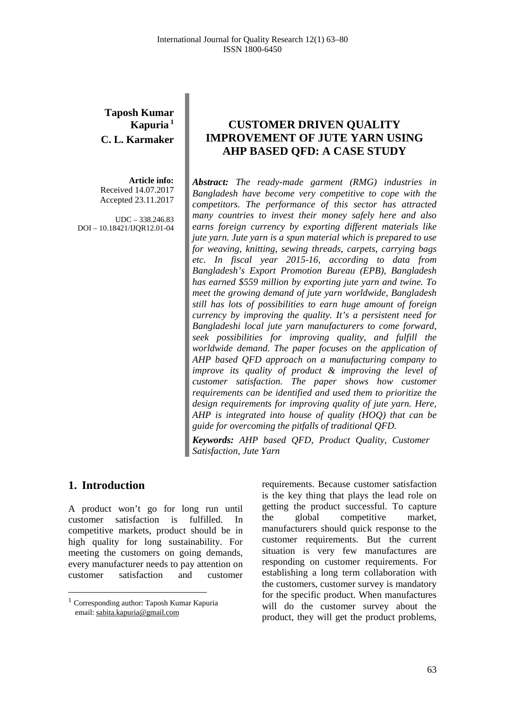## **Taposh Kumar Kapuria <sup>1</sup> C. L. Karmaker**

**Article info:** Received 14.07.2017 Accepted 23.11.2017

UDC – 338.246.83 DOI – 10.18421/IJQR12.01-04

# **CUSTOMER DRIVEN QUALITY IMPROVEMENT OF JUTE YARN USING AHP BASED QFD: A CASE STUDY**

*Abstract: The ready-made garment (RMG) industries in Bangladesh have become very competitive to cope with the competitors. The performance of this sector has attracted many countries to invest their money safely here and also earns foreign currency by exporting different materials like jute yarn. Jute yarn is a spun material which is prepared to use for weaving, knitting, sewing threads, carpets, carrying bags etc. In fiscal year 2015-16, according to data from Bangladesh's Export Promotion Bureau (EPB), Bangladesh has earned \$559 million by exporting jute yarn and twine. To meet the growing demand of jute yarn worldwide, Bangladesh still has lots of possibilities to earn huge amount of foreign currency by improving the quality. It's a persistent need for Bangladeshi local jute yarn manufacturers to come forward, seek possibilities for improving quality, and fulfill the worldwide demand. The paper focuses on the application of AHP based QFD approach on a manufacturing company to improve its quality of product & improving the level of customer satisfaction. The paper shows how customer requirements can be identified and used them to prioritize the design requirements for improving quality of jute yarn. Here, AHP is integrated into house of quality (HOQ) that can be guide for overcoming the pitfalls of traditional QFD.*

*Keywords: AHP based QFD, Product Quality, Customer Satisfaction, Jute Yarn*

## **1. Introduction[1](#page-0-0)**

A product won't go for long run until customer satisfaction is fulfilled. In competitive markets, product should be in high quality for long sustainability. For meeting the customers on going demands, every manufacturer needs to pay attention on customer satisfaction and customer

requirements. Because customer satisfaction is the key thing that plays the lead role on getting the product successful. To capture the global competitive market, manufacturers should quick response to the customer requirements. But the current situation is very few manufactures are responding on customer requirements. For establishing a long term collaboration with the customers, customer survey is mandatory for the specific product. When manufactures will do the customer survey about the product, they will get the product problems,

<span id="page-0-0"></span> $^{\rm 1}$  Corresponding author: Taposh Kumar Kapuria email: [sabita.kapuria@gmail.com](mailto:sabita.kapuria@gmail.com)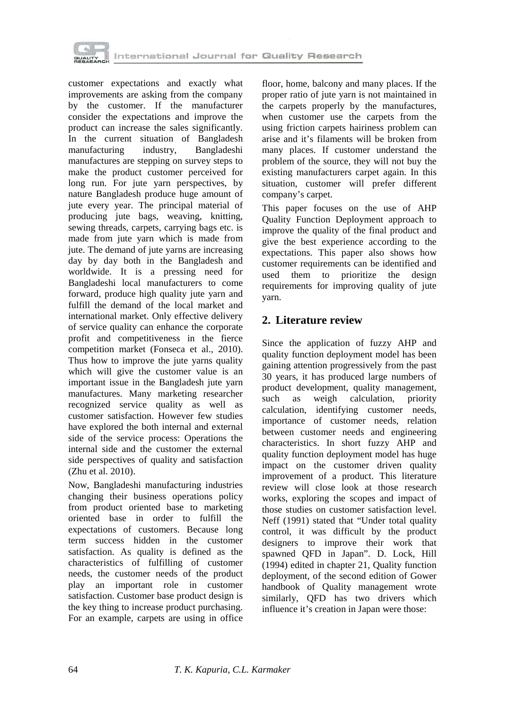

customer expectations and exactly what improvements are asking from the company by the customer. If the manufacturer consider the expectations and improve the product can increase the sales significantly. In the current situation of Bangladesh manufacturing industry, Bangladeshi manufactures are stepping on survey steps to make the product customer perceived for long run. For jute yarn perspectives, by nature Bangladesh produce huge amount of jute every year. The principal material of producing jute bags, weaving, knitting, sewing threads, carpets, carrying bags etc. is made from jute yarn which is made from jute. The demand of jute yarns are increasing day by day both in the Bangladesh and worldwide. It is a pressing need for Bangladeshi local manufacturers to come forward, produce high quality jute yarn and fulfill the demand of the local market and international market. Only effective delivery of service quality can enhance the corporate profit and competitiveness in the fierce competition market (Fonseca et al., 2010). Thus how to improve the jute yarns quality which will give the customer value is an important issue in the Bangladesh jute yarn manufactures. Many marketing researcher recognized service quality as well as customer satisfaction. However few studies have explored the both internal and external side of the service process: Operations the internal side and the customer the external side perspectives of quality and satisfaction (Zhu et al. 2010).

Now, Bangladeshi manufacturing industries changing their business operations policy from product oriented base to marketing oriented base in order to fulfill the expectations of customers. Because long term success hidden in the customer satisfaction. As quality is defined as the characteristics of fulfilling of customer needs, the customer needs of the product play an important role in customer satisfaction. Customer base product design is the key thing to increase product purchasing. For an example, carpets are using in office floor, home, balcony and many places. If the proper ratio of jute yarn is not maintained in the carpets properly by the manufactures, when customer use the carpets from the using friction carpets hairiness problem can arise and it's filaments will be broken from many places. If customer understand the problem of the source, they will not buy the existing manufacturers carpet again. In this situation, customer will prefer different company's carpet.

This paper focuses on the use of AHP Quality Function Deployment approach to improve the quality of the final product and give the best experience according to the expectations. This paper also shows how customer requirements can be identified and used them to prioritize the design requirements for improving quality of jute yarn.

# **2. Literature review**

Since the application of fuzzy AHP and quality function deployment model has been gaining attention progressively from the past 30 years, it has produced large numbers of product development, quality management, such as weigh calculation, priority calculation, identifying customer needs, importance of customer needs, relation between customer needs and engineering characteristics. In short fuzzy AHP and quality function deployment model has huge impact on the customer driven quality improvement of a product. This literature review will close look at those research works, exploring the scopes and impact of those studies on customer satisfaction level. Neff (1991) stated that "Under total quality control, it was difficult by the product designers to improve their work that spawned QFD in Japan". D. Lock, Hill (1994) edited in chapter 21, Quality function deployment, of the second edition of Gower handbook of Quality management wrote similarly, OFD has two drivers which influence it's creation in Japan were those: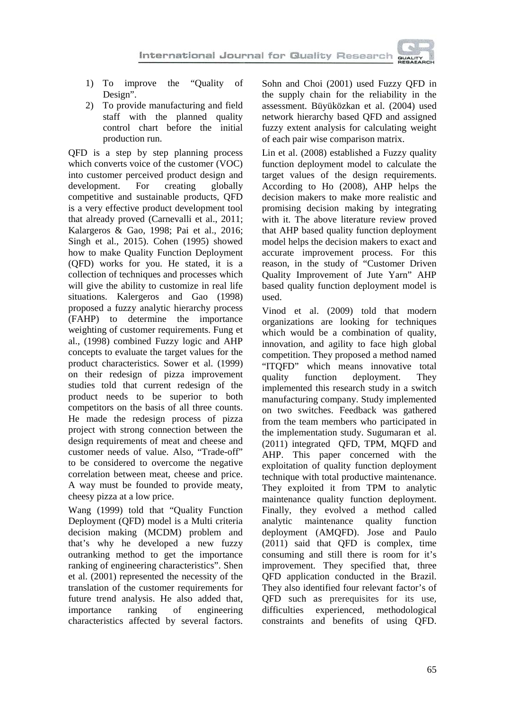

- 1) To improve the "Quality of Design".
- 2) To provide manufacturing and field staff with the planned quality control chart before the initial production run.

QFD is a step by step planning process which converts voice of the customer (VOC) into customer perceived product design and development. For creating globally competitive and sustainable products, QFD is a very effective product development tool that already proved (Carnevalli et al., 2011; Kalargeros & Gao, 1998; Pai et al., 2016; Singh et al., 2015). Cohen (1995) showed how to make Quality Function Deployment (QFD) works for you. He stated, it is a collection of techniques and processes which will give the ability to customize in real life situations. Kalergeros and Gao (1998) proposed a fuzzy analytic hierarchy process (FAHP) to determine the importance weighting of customer requirements. Fung et al., (1998) combined Fuzzy logic and AHP concepts to evaluate the target values for the product characteristics. Sower et al. (1999) on their redesign of pizza improvement studies told that current redesign of the product needs to be superior to both competitors on the basis of all three counts. He made the redesign process of pizza project with strong connection between the design requirements of meat and cheese and customer needs of value. Also, "Trade-off" to be considered to overcome the negative correlation between meat, cheese and price. A way must be founded to provide meaty, cheesy pizza at a low price.

Wang (1999) told that "Quality Function Deployment (QFD) model is a Multi criteria decision making (MCDM) problem and that's why he developed a new fuzzy outranking method to get the importance ranking of engineering characteristics". Shen et al. (2001) represented the necessity of the translation of the customer requirements for future trend analysis. He also added that, importance ranking of engineering characteristics affected by several factors.

Sohn and Choi (2001) used Fuzzy QFD in the supply chain for the reliability in the assessment. Büyüközkan et al. (2004) used network hierarchy based QFD and assigned fuzzy extent analysis for calculating weight of each pair wise comparison matrix.

Lin et al. (2008) established a Fuzzy quality function deployment model to calculate the target values of the design requirements. According to Ho (2008), AHP helps the decision makers to make more realistic and promising decision making by integrating with it. The above literature review proved that AHP based quality function deployment model helps the decision makers to exact and accurate improvement process. For this reason, in the study of "Customer Driven Quality Improvement of Jute Yarn" AHP based quality function deployment model is used.

Vinod et al. (2009) told that modern organizations are looking for techniques which would be a combination of quality, innovation, and agility to face high global competition. They proposed a method named "ITQFD" which means innovative total quality function deployment. They implemented this research study in a switch manufacturing company. Study implemented on two switches. Feedback was gathered from the team members who participated in the implementation study. Sugumaran et al. (2011) integrated QFD, TPM, MQFD and AHP. This paper concerned with the exploitation of quality function deployment technique with total productive maintenance. They exploited it from TPM to analytic maintenance quality function deployment. Finally, they evolved a method called<br>analytic maintenance quality function analytic maintenance quality function deployment (AMQFD). Jose and Paulo (2011) said that QFD is complex, time consuming and still there is room for it's improvement. They specified that, three QFD application conducted in the Brazil. They also identified four relevant factor's of QFD such as prerequisites for its use, methodological constraints and benefits of using QFD.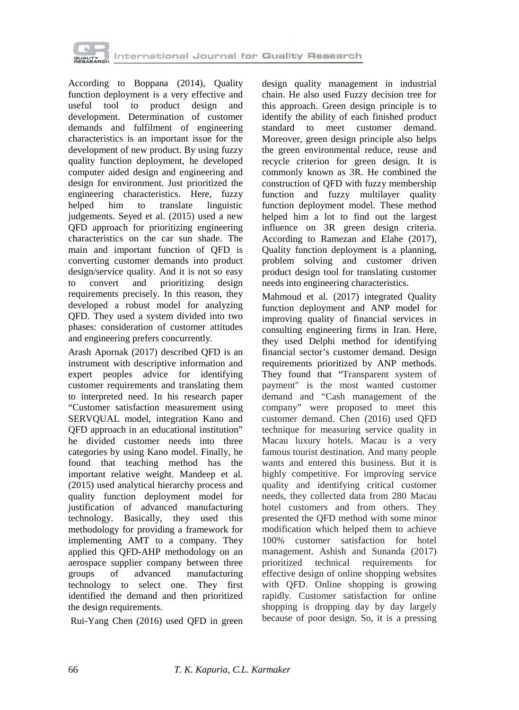

According to Boppana (2014), Quality function deployment is a very effective and useful tool to product design and development. Determination of customer demands and fulfilment of engineering characteristics is an important issue for the development of new product. By using fuzzy quality function deployment, he developed computer aided design and engineering and design for environment. Just prioritized the engineering characteristics. Here, fuzzy<br>helped him to translate linguistic to translate linguistic judgements. Seyed et al. (2015) used a new QFD approach for prioritizing engineering characteristics on the car sun shade. The main and important function of QFD is converting customer demands into product design/service quality. And it is not so easy<br>to convert and prioritizing design to convert and prioritizing design requirements precisely. In this reason, they developed a robust model for analyzing QFD. They used a system divided into two phases: consideration of customer attitudes and engineering prefers concurrently.

Arash Apornak (2017) described QFD is an instrument with descriptive information and expert peoples advice for identifying customer requirements and translating them to interpreted need. In his research paper "Customer satisfaction measurement using SERVQUAL model, integration Kano and QFD approach in an educational institution" he divided customer needs into three categories by using Kano model. Finally, he found that teaching method has the important relative weight. Mandeep et al. (2015) used analytical hierarchy process and quality function deployment model for justification of advanced manufacturing technology. Basically, they used this methodology for providing a framework for implementing AMT to a company. They applied this QFD-AHP methodology on an aerospace supplier company between three groups of advanced manufacturing technology to select one. They first identified the demand and then prioritized the design requirements.

Rui-Yang Chen (2016) used QFD in green

design quality management in industrial chain. He also used Fuzzy decision tree for this approach. Green design principle is to identify the ability of each finished product standard to meet customer demand. Moreover, green design principle also helps the green environmental reduce, reuse and recycle criterion for green design. It is commonly known as 3R. He combined the construction of QFD with fuzzy membership function and fuzzy multilayer quality function deployment model. These method helped him a lot to find out the largest influence on 3R green design criteria. According to Ramezan and Elahe (2017), Quality function deployment is a planning, problem solving and customer driven product design tool for translating customer needs into engineering characteristics.

Mahmoud et al. (2017) integrated Quality function deployment and ANP model for improving quality of financial services in consulting engineering firms in Iran. Here, they used Delphi method for identifying financial sector's customer demand. Design requirements prioritized by ANP methods. They found that "Transparent system of payment" is the most wanted customer demand and "Cash management of the company" were proposed to meet this customer demand. Chen (2016) used QFD technique for measuring service quality in Macau luxury hotels. Macau is a very famous tourist destination. And many people wants and entered this business. But it is highly competitive. For improving service quality and identifying critical customer needs, they collected data from 280 Macau hotel customers and from others. They presented the QFD method with some minor modification which helped them to achieve 100% customer satisfaction for hotel management. Ashish and Sunanda (2017) prioritized technical requirements for effective design of online shopping websites with QFD. Online shopping is growing rapidly. Customer satisfaction for online shopping is dropping day by day largely because of poor design. So, it is a pressing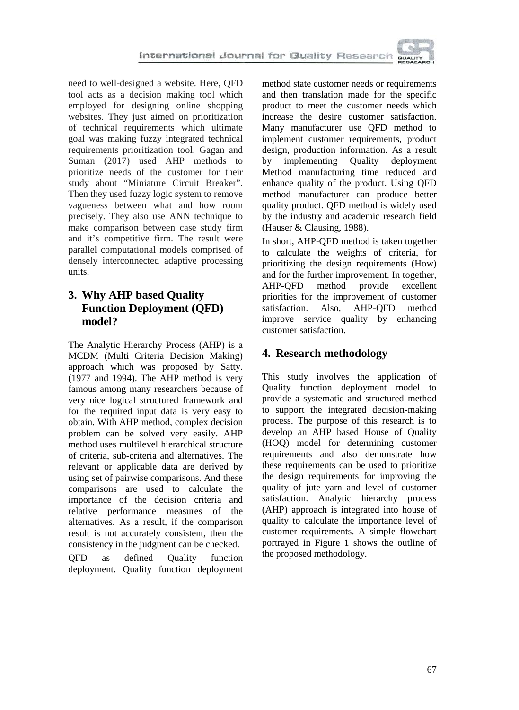need to well-designed a website. Here, QFD tool acts as a decision making tool which employed for designing online shopping websites. They just aimed on prioritization of technical requirements which ultimate goal was making fuzzy integrated technical requirements prioritization tool. Gagan and Suman (2017) used AHP methods to prioritize needs of the customer for their study about "Miniature Circuit Breaker". Then they used fuzzy logic system to remove vagueness between what and how room precisely. They also use ANN technique to make comparison between case study firm and it's competitive firm. The result were parallel computational models comprised of densely interconnected adaptive processing units.

# **3. Why AHP based Quality Function Deployment (QFD) model?**

The Analytic Hierarchy Process (AHP) is a MCDM (Multi Criteria Decision Making) approach which was proposed by Satty. (1977 and 1994). The AHP method is very famous among many researchers because of very nice logical structured framework and for the required input data is very easy to obtain. With AHP method, complex decision problem can be solved very easily. AHP method uses multilevel hierarchical structure of criteria, sub-criteria and alternatives. The relevant or applicable data are derived by using set of pairwise comparisons. And these comparisons are used to calculate the importance of the decision criteria and relative performance measures of the alternatives. As a result, if the comparison result is not accurately consistent, then the consistency in the judgment can be checked.

QFD as defined Quality function deployment. Quality function deployment method state customer needs or requirements and then translation made for the specific product to meet the customer needs which increase the desire customer satisfaction. Many manufacturer use QFD method to implement customer requirements, product design, production information. As a result by implementing Quality deployment Method manufacturing time reduced and enhance quality of the product. Using QFD method manufacturer can produce better quality product. QFD method is widely used by the industry and academic research field (Hauser & Clausing, 1988).

In short, AHP-QFD method is taken together to calculate the weights of criteria, for prioritizing the design requirements (How) and for the further improvement. In together,<br>AHP-QFD method provide excellent AHP-QFD method provide excellent priorities for the improvement of customer satisfaction. Also, AHP-QFD method improve service quality by enhancing customer satisfaction.

# **4. Research methodology**

This study involves the application of Quality function deployment model to provide a systematic and structured method to support the integrated decision-making process. The purpose of this research is to develop an AHP based House of Quality (HOQ) model for determining customer requirements and also demonstrate how these requirements can be used to prioritize the design requirements for improving the quality of jute yarn and level of customer satisfaction. Analytic hierarchy process (AHP) approach is integrated into house of quality to calculate the importance level of customer requirements. A simple flowchart portrayed in Figure 1 shows the outline of the proposed methodology.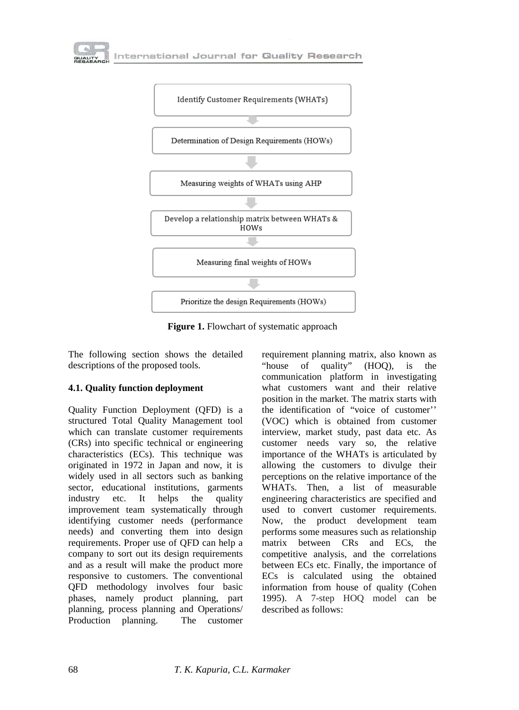



**Figure 1.** Flowchart of systematic approach

The following section shows the detailed descriptions of the proposed tools.

#### **4.1. Quality function deployment**

Quality Function Deployment (QFD) is a structured Total Quality Management tool which can translate customer requirements (CRs) into specific technical or engineering characteristics (ECs). This technique was originated in 1972 in Japan and now, it is widely used in all sectors such as banking sector, educational institutions, garments industry etc. It helps the quality improvement team systematically through identifying customer needs (performance needs) and converting them into design requirements. Proper use of QFD can help a company to sort out its design requirements and as a result will make the product more responsive to customers. The conventional QFD methodology involves four basic phases, namely product planning, part planning, process planning and Operations/ Production planning. The customer

requirement planning matrix, also known as "house of quality" (HOQ), is the communication platform in investigating what customers want and their relative position in the market. The matrix starts with the identification of "voice of customer'' (VOC) which is obtained from customer interview, market study, past data etc. As customer needs vary so, the relative importance of the WHATs is articulated by allowing the customers to divulge their perceptions on the relative importance of the WHATs. Then, a list of measurable engineering characteristics are specified and used to convert customer requirements. Now, the product development team performs some measures such as relationship matrix between CRs and ECs, the competitive analysis, and the correlations between ECs etc. Finally, the importance of ECs is calculated using the obtained information from house of quality (Cohen 1995). A 7-step HOQ model can be described as follows: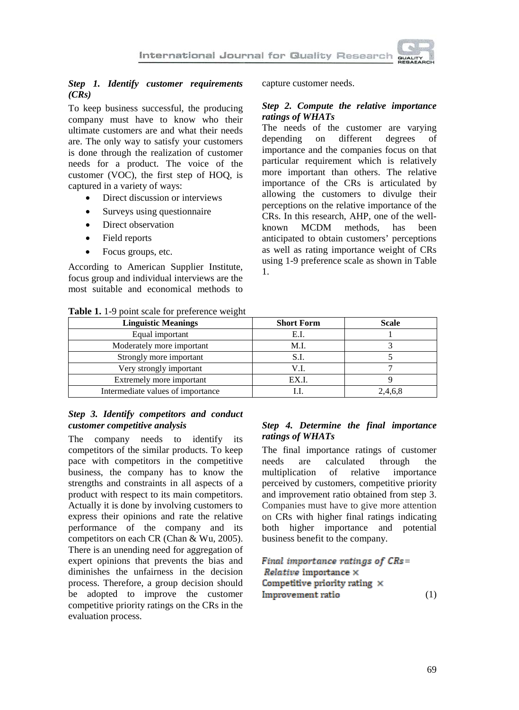

#### *Step 1. Identify customer requirements (CRs)*

To keep business successful, the producing company must have to know who their ultimate customers are and what their needs are. The only way to satisfy your customers is done through the realization of customer needs for a product. The voice of the customer (VOC), the first step of HOQ, is captured in a variety of ways:

- Direct discussion or interviews
- Surveys using questionnaire
- Direct observation
- Field reports
- Focus groups, etc.

According to American Supplier Institute, focus group and individual interviews are the most suitable and economical methods to

**Table 1.** 1-9 point scale for preference weight

capture customer needs.

#### *Step 2. Compute the relative importance ratings of WHATs*

The needs of the customer are varying depending on different degrees of importance and the companies focus on that particular requirement which is relatively more important than others. The relative importance of the CRs is articulated by allowing the customers to divulge their perceptions on the relative importance of the CRs. In this research, AHP, one of the wellknown MCDM methods, has been anticipated to obtain customers' perceptions as well as rating importance weight of CRs using 1-9 preference scale as shown in Table 1.

| <b>Linguistic Meanings</b>        | <b>Short Form</b> | <b>Scale</b> |
|-----------------------------------|-------------------|--------------|
| Equal important                   | E.I.              |              |
| Moderately more important         | M.I.              |              |
| Strongly more important           | S.I.              |              |
| Very strongly important           | V.I.              |              |
| Extremely more important          | EX.I.             |              |
| Intermediate values of importance |                   | 2,4,6,8      |

#### *Step 3. Identify competitors and conduct customer competitive analysis*

The company needs to identify its competitors of the similar products. To keep pace with competitors in the competitive business, the company has to know the strengths and constraints in all aspects of a product with respect to its main competitors. Actually it is done by involving customers to express their opinions and rate the relative performance of the company and its competitors on each CR (Chan & Wu, 2005). There is an unending need for aggregation of expert opinions that prevents the bias and diminishes the unfairness in the decision process. Therefore, a group decision should be adopted to improve the customer competitive priority ratings on the CRs in the evaluation process.

#### *Step 4. Determine the final importance ratings of WHATs*

The final importance ratings of customer needs are calculated through the multiplication of relative importance perceived by customers, competitive priority and improvement ratio obtained from step 3. Companies must have to give more attention on CRs with higher final ratings indicating both higher importance and potential business benefit to the company.

# **Final importance ratings of CRs=** *Relative* importance  $\times$ <br>Competitive priority rating  $\times$ Improvement ratio

(1)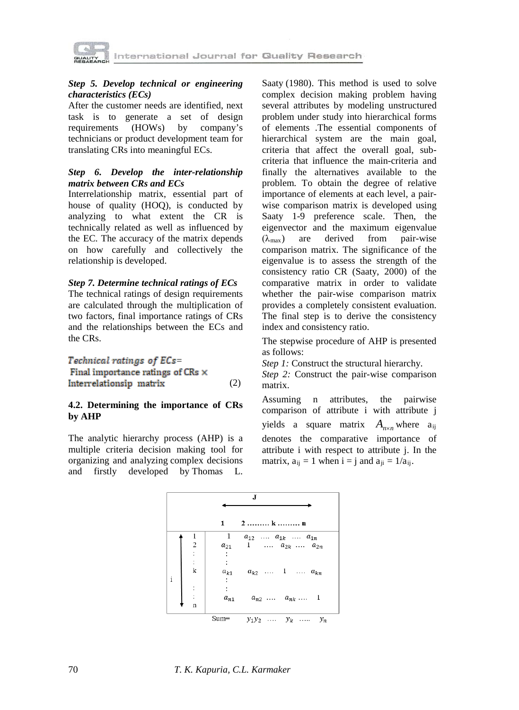

#### *Step 5. Develop technical or engineering characteristics (ECs)*

After the customer needs are identified, next task is to generate a set of design requirements (HOWs) by company's technicians or product development team for translating CRs into meaningful ECs.

#### *Step 6. Develop the inter-relationship matrix between CRs and ECs*

Interrelationship matrix, essential part of house of quality (HOQ), is conducted by analyzing to what extent the CR is technically related as well as influenced by the EC. The accuracy of the matrix depends on how carefully and collectively the relationship is developed.

#### *Step 7. Determine technical ratings of ECs*

The technical ratings of design requirements are calculated through the multiplication of two factors, final importance ratings of CRs and the relationships between the ECs and the CRs.

#### Technical ratings of ECs=

Final importance ratings of CRs  $\times$ Interrelationsip matrix (2)

#### **4.2. Determining the importance of CRs by AHP**

The analytic hierarchy process (AHP) is a multiple criteria decision making tool for organizing and analyzing [complex decisions](http://en.wikipedia.org/wiki/MCDA) and firstly developed by [Thomas L.](http://en.wikipedia.org/wiki/Thomas_L._Saaty) 

[Saaty](http://en.wikipedia.org/wiki/Thomas_L._Saaty) (1980). This method is used to solve complex decision making problem having several attributes by modeling unstructured problem under study into hierarchical forms of elements .The essential components of hierarchical system are the main goal, criteria that affect the overall goal, subcriteria that influence the main-criteria and finally the alternatives available to the problem. To obtain the degree of relative importance of elements at each level, a pairwise comparison matrix is developed using Saaty 1-9 preference scale. Then, the eigenvector and the maximum eigenvalue  $(\lambda_{\text{max}})$  are derived from pair-wise comparison matrix. The significance of the eigenvalue is to assess the strength of the consistency ratio CR (Saaty, 2000) of the comparative matrix in order to validate whether the pair-wise comparison matrix provides a completely consistent evaluation. The final step is to derive the consistency index and consistency ratio.

The stepwise procedure of AHP is presented as follows:

*Step 1:* Construct the structural hierarchy.

*Step 2:* Construct the pair-wise comparison matrix.

Assuming n attributes, the pairwise comparison of attribute i with attribute j yields a square matrix  $A_{n \times n}$  where  $a_{ij}$ denotes the comparative importance of attribute i with respect to attribute j. In the matrix,  $a_{ii} = 1$  when  $i = j$  and  $a_{ii} = 1/a_{ii}$ .

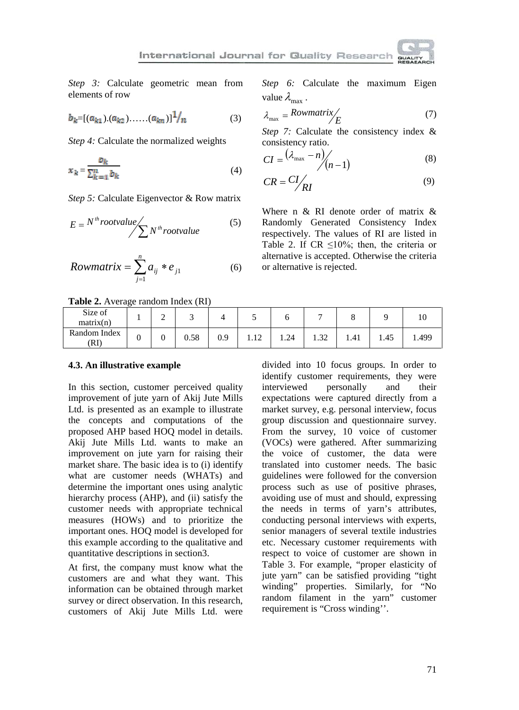*Step 3:* Calculate geometric mean from elements of row

$$
b_k = [(a_{k1}). (a_{k2}). \dots . (a_{kn})]^{\frac{1}{l}} \qquad (3)
$$

*Step 4:* Calculate the normalized weights

$$
x_k = \frac{b_k}{\sum_{k=1}^n b_k} \tag{4}
$$

*Step 5:* Calculate Eigenvector & Row matrix

$$
E = N^{th} root value / \sum N^{th} root value
$$
 (5)

$$
Rowmatrix = \sum_{j=1}^{n} a_{ij} * e_{j1}
$$
 (6)

**Table 2.** Average random Index (RI)

Size of<br>matrix(n)  $\frac{1}{2}$  1 2 3 4 5 6 7 8 9 10 Random Index (RI) <sup>0</sup> <sup>0</sup> 0.58 0.9 1.12 1.24 1.32 1.41 1.45 1.499

#### **4.3. An illustrative example**

In this section, customer perceived quality improvement of jute yarn of Akij Jute Mills Ltd. is presented as an example to illustrate the concepts and computations of the proposed AHP based HOQ model in details. Akij Jute Mills Ltd. wants to make an improvement on jute yarn for raising their market share. The basic idea is to (i) identify what are customer needs (WHATs) and determine the important ones using analytic hierarchy process (AHP), and (ii) satisfy the customer needs with appropriate technical measures (HOWs) and to prioritize the important ones. HOQ model is developed for this example according to the qualitative and quantitative descriptions in section3.

At first, the company must know what the customers are and what they want. This information can be obtained through market survey or direct observation. In this research, customers of Akij Jute Mills Ltd. were *Step 6:* Calculate the maximum Eigen value  $\lambda_{\text{max}}$ .

$$
\lambda_{\text{max}} = \text{Rowmatrix} / \text{E} \tag{7}
$$

*Step 7:* Calculate the consistency index & consistency ratio.

$$
CI = \frac{(\lambda_{\max} - n)}{n-1}
$$
 (8)

$$
CR = \frac{CI}{RI} \tag{9}
$$

Where n & RI denote order of matrix & Randomly Generated Consistency Index respectively. The values of RI are listed in Table 2. If  $CR \le 10\%$ ; then, the criteria or alternative is accepted. Otherwise the criteria or alternative is rejected.

divided into 10 focus groups. In order to identify customer requirements, they were interviewed personally and their expectations were captured directly from a market survey, e.g. personal interview, focus group discussion and questionnaire survey. From the survey, 10 voice of customer (VOCs) were gathered. After summarizing the voice of customer, the data were translated into customer needs. The basic guidelines were followed for the conversion process such as use of positive phrases, avoiding use of must and should, expressing the needs in terms of yarn's attributes, conducting personal interviews with experts, senior managers of several textile industries etc. Necessary customer requirements with respect to voice of customer are shown in Table 3. For example, "proper elasticity of jute yarn" can be satisfied providing "tight winding" properties. Similarly, for "No random filament in the yarn" customer requirement is "Cross winding''.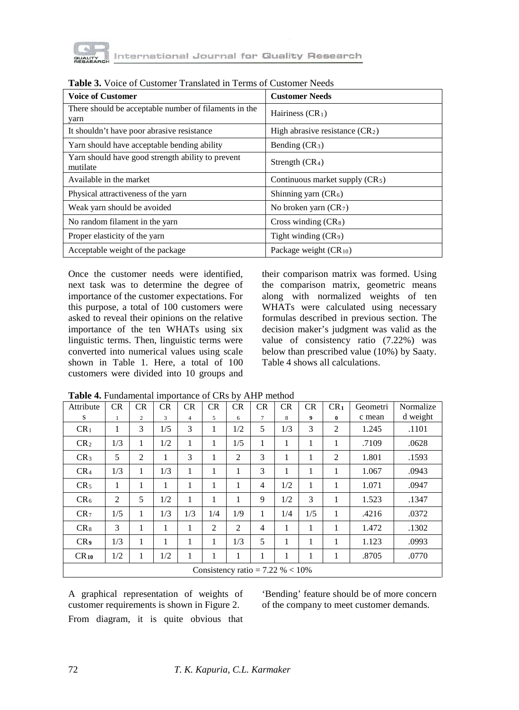

| <b>Voice of Customer</b>                                      | <b>Customer Needs</b>             |
|---------------------------------------------------------------|-----------------------------------|
| There should be acceptable number of filaments in the<br>yarn | Hairiness $(CR_1)$                |
| It shouldn't have poor abrasive resistance                    | High abrasive resistance $(CR_2)$ |
| Yarn should have acceptable bending ability                   | Bending $CR_3$ )                  |
| Yarn should have good strength ability to prevent<br>mutilate | Strength $(CR_4)$                 |
| Available in the market                                       | Continuous market supply $(CR_5)$ |
| Physical attractiveness of the yarn                           | Shinning yarn $(CR_6)$            |
| Weak yarn should be avoided                                   | No broken yarn $(CR_7)$           |
| No random filament in the yarn                                | Cross winding $(CR_8)$            |
| Proper elasticity of the yarn                                 | Tight winding $(CR_9)$            |
| Acceptable weight of the package                              | Package weight $(CR_{10})$        |

| <b>Table 3.</b> Voice of Customer Translated in Terms of Customer Needs |  |
|-------------------------------------------------------------------------|--|
|-------------------------------------------------------------------------|--|

Once the customer needs were identified, next task was to determine the degree of importance of the customer expectations. For this purpose, a total of 100 customers were asked to reveal their opinions on the relative importance of the ten WHATs using six linguistic terms. Then, linguistic terms were converted into numerical values using scale shown in Table 1. Here, a total of 100 customers were divided into 10 groups and

their comparison matrix was formed. Using the comparison matrix, geometric means along with normalized weights of ten WHATs were calculated using necessary formulas described in previous section. The decision maker's judgment was valid as the value of consistency ratio (7.22%) was below than prescribed value (10%) by Saaty. Table 4 shows all calculations.

| Attribute                           | <b>CR</b>    | CR             | <b>CR</b> | CR             | CR             | CR  | CR             | CR  | CR  | CR <sub>1</sub> | Geometri | Normalize |  |
|-------------------------------------|--------------|----------------|-----------|----------------|----------------|-----|----------------|-----|-----|-----------------|----------|-----------|--|
| S                                   | $\mathbf{1}$ | $\overline{c}$ | 3         | $\overline{4}$ | 5              | 6   | 7              | 8   | 9   | $\bf{0}$        | c mean   | d weight  |  |
| CR <sub>1</sub>                     | 1            | 3              | 1/5       | 3              | 1              | 1/2 | 5              | 1/3 | 3   | 2               | 1.245    | .1101     |  |
| CR <sub>2</sub>                     | 1/3          | 1              | 1/2       | 1              | 1              | 1/5 | 1              | 1   | 1   | 1               | .7109    | .0628     |  |
| CR <sub>3</sub>                     | 5            | $\overline{2}$ | 1         | 3              | 1              | 2   | 3              | 1   | 1   | 2               | 1.801    | .1593     |  |
| CR <sub>4</sub>                     | 1/3          | 1              | 1/3       | 1              | 1              | 1   | 3              | 1   | 1   | 1               | 1.067    | .0943     |  |
| CR <sub>5</sub>                     | 1            | 1              | 1         | 1              | 1              | 1   | $\overline{4}$ | 1/2 | 1   | 1               | 1.071    | .0947     |  |
| CR <sub>6</sub>                     | 2            | 5              | 1/2       | 1              | 1              | 1   | 9              | 1/2 | 3   | 1               | 1.523    | .1347     |  |
| CR <sub>7</sub>                     | 1/5          | 1              | 1/3       | 1/3            | 1/4            | 1/9 | 1              | 1/4 | 1/5 | 1               | .4216    | .0372     |  |
| $CR_8$                              | 3            | 1              | 1         | 1              | $\overline{c}$ | 2   | $\overline{4}$ | 1   | 1   | 1               | 1.472    | .1302     |  |
| CR <sub>9</sub>                     | 1/3          | 1              | 1         | 1              | 1              | 1/3 | 5              | 1   | 1   | 1               | 1.123    | .0993     |  |
| $CR_{10}$                           | 1/2          | 1              | 1/2       | 1              | 1              | 1   | 1              | 1   | 1   | 1               | .8705    | .0770     |  |
| Consistency ratio = $7.22\% < 10\%$ |              |                |           |                |                |     |                |     |     |                 |          |           |  |

**Table 4.** Fundamental importance of CRs by AHP method

A graphical representation of weights of customer requirements is shown in Figure 2. From diagram, it is quite obvious that

'Bending' feature should be of more concern of the company to meet customer demands.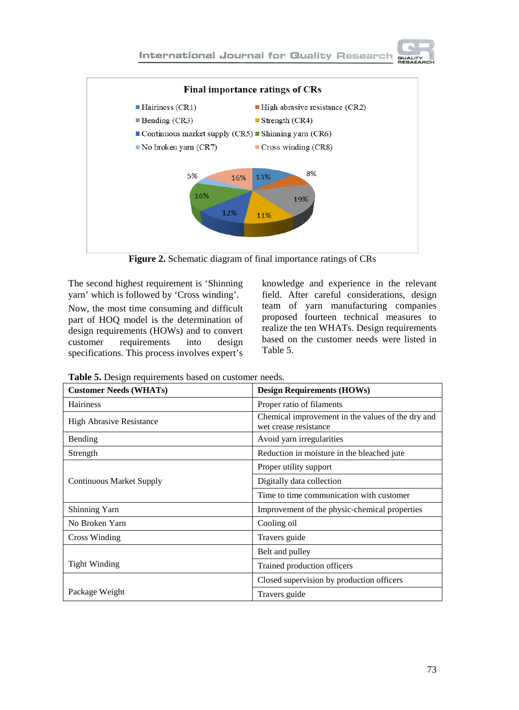

**Figure 2.** Schematic diagram of final importance ratings of CRs

The second highest requirement is 'Shinning yarn' which is followed by 'Cross winding'.

Now, the most time consuming and difficult part of HOQ model is the determination of design requirements (HOWs) and to convert<br>customer requirements into design requirements into design specifications. This process involves expert's

knowledge and experience in the relevant field. After careful considerations, design team of yarn manufacturing companies proposed fourteen technical measures to realize the ten WHATs. Design requirements based on the customer needs were listed in Table 5.

| <b>Customer Needs (WHATs)</b>   | <b>Design Requirements (HOWs)</b>                                          |  |  |  |  |  |
|---------------------------------|----------------------------------------------------------------------------|--|--|--|--|--|
| <b>Hairiness</b>                | Proper ratio of filaments                                                  |  |  |  |  |  |
| <b>High Abrasive Resistance</b> | Chemical improvement in the values of the dry and<br>wet crease resistance |  |  |  |  |  |
| Bending                         | Avoid yarn irregularities                                                  |  |  |  |  |  |
| Strength                        | Reduction in moisture in the bleached jute                                 |  |  |  |  |  |
|                                 | Proper utility support                                                     |  |  |  |  |  |
| <b>Continuous Market Supply</b> | Digitally data collection                                                  |  |  |  |  |  |
|                                 | Time to time communication with customer                                   |  |  |  |  |  |
| Shinning Yarn                   | Improvement of the physic-chemical properties                              |  |  |  |  |  |
| No Broken Yarn                  | Cooling oil                                                                |  |  |  |  |  |
| Cross Winding                   | Travers guide                                                              |  |  |  |  |  |
|                                 | Belt and pulley                                                            |  |  |  |  |  |
| Tight Winding                   | Trained production officers                                                |  |  |  |  |  |
|                                 | Closed supervision by production officers                                  |  |  |  |  |  |
| Package Weight                  | Travers guide                                                              |  |  |  |  |  |

**Table 5.** Design requirements based on customer needs.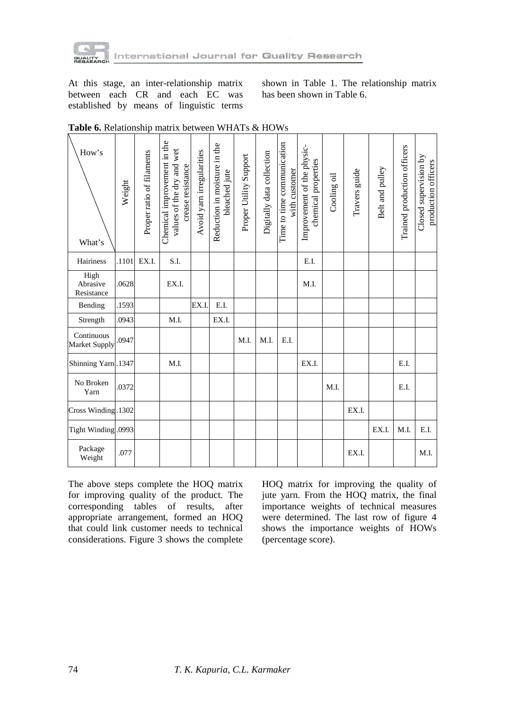

At this stage, an inter-relationship matrix between each CR and each EC was established by means of linguistic terms shown in Table 1. The relationship matrix has been shown in Table 6.

| How's<br>What's                | Weight | Proper ratio of filaments | Chemical improvement in the<br>values of the dry and wet<br>crease resistance | Avoid yarn irregularities | Reduction in moisture in the<br>bleached jute | Proper Utility Support | Digitally data collection | Time to time communication<br>with customer | Improvement of the physic-<br>chemical properties | Cooling oil | Travers guide | Belt and pulley | Trained production officers | Closed supervision by<br>production officers |
|--------------------------------|--------|---------------------------|-------------------------------------------------------------------------------|---------------------------|-----------------------------------------------|------------------------|---------------------------|---------------------------------------------|---------------------------------------------------|-------------|---------------|-----------------|-----------------------------|----------------------------------------------|
| <b>Hairiness</b>               | .1101  | EX.I.                     | S.I.                                                                          |                           |                                               |                        |                           |                                             | E.I.                                              |             |               |                 |                             |                                              |
| High<br>Abrasive<br>Resistance | .0628  |                           | EX.I.                                                                         |                           |                                               |                        |                           |                                             | M.I.                                              |             |               |                 |                             |                                              |
| Bending                        | .1593  |                           |                                                                               | EX.I.                     | E.I.                                          |                        |                           |                                             |                                                   |             |               |                 |                             |                                              |
| Strength                       | .0943  |                           | M.I.                                                                          |                           | EX.I.                                         |                        |                           |                                             |                                                   |             |               |                 |                             |                                              |
| Continuous<br>Market Supply    | .0947  |                           |                                                                               |                           |                                               | M.I.                   | M.I.                      | E.I.                                        |                                                   |             |               |                 |                             |                                              |
| Shinning Yarn .1347            |        |                           | M.I.                                                                          |                           |                                               |                        |                           |                                             | EX.I.                                             |             |               |                 | E.I.                        |                                              |
| No Broken<br>Yarn              | .0372  |                           |                                                                               |                           |                                               |                        |                           |                                             |                                                   | M.I.        |               |                 | E.I.                        |                                              |
| Cross Winding.1302             |        |                           |                                                                               |                           |                                               |                        |                           |                                             |                                                   |             | EX.I.         |                 |                             |                                              |
| Tight Winding .0993            |        |                           |                                                                               |                           |                                               |                        |                           |                                             |                                                   |             |               | EX.I.           | M.I.                        | E.I.                                         |
| Package<br>Weight              | .077   |                           |                                                                               |                           |                                               |                        |                           |                                             |                                                   |             | EX.I.         |                 |                             | M.I.                                         |

The above steps complete the HOQ matrix for improving quality of the product. The corresponding tables of results, after appropriate arrangement, formed an HOQ that could link customer needs to technical considerations. Figure 3 shows the complete HOQ matrix for improving the quality of jute yarn. From the HOQ matrix, the final importance weights of technical measures were determined. The last row of figure 4 shows the importance weights of HOWs (percentage score).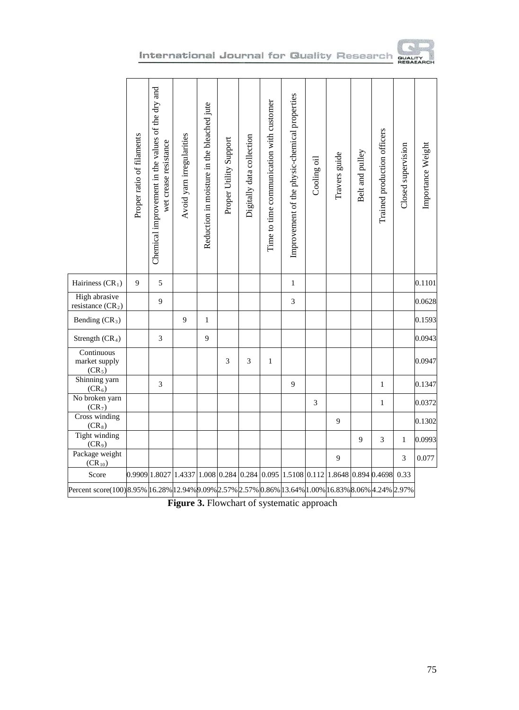

# International Journal for Quality Research author

|                                                                                                       | Proper ratio of filaments | Chemical improvement in the values of the dry and<br>wet crease resistance | Avoid yarn irregularities                                                     | Reduction in moisture in the bleached jute | Proper Utility Support | Digitally data collection | Time to time communication with customer | Improvement of the physic-chemical properties | Cooling oil | Travers guide | Belt and pulley | Trained production officers | Closed supervision | Importance Weight |
|-------------------------------------------------------------------------------------------------------|---------------------------|----------------------------------------------------------------------------|-------------------------------------------------------------------------------|--------------------------------------------|------------------------|---------------------------|------------------------------------------|-----------------------------------------------|-------------|---------------|-----------------|-----------------------------|--------------------|-------------------|
| Hairiness $(CR_1)$                                                                                    | 9                         | 5                                                                          |                                                                               |                                            |                        |                           |                                          | $\mathbf{1}$                                  |             |               |                 |                             |                    | 0.1101            |
| High abrasive<br>resistance $(CR_2)$                                                                  |                           | 9                                                                          |                                                                               |                                            |                        |                           |                                          | $\mathfrak{Z}$                                |             |               |                 |                             |                    | 0.0628            |
| Bending (CR <sub>3</sub> )                                                                            |                           |                                                                            | 9                                                                             | $\mathbf{1}$                               |                        |                           |                                          |                                               |             |               |                 |                             |                    | 0.1593            |
| Strength (CR <sub>4</sub> )                                                                           |                           | 3                                                                          |                                                                               | 9                                          |                        |                           |                                          |                                               |             |               |                 |                             |                    | 0.0943            |
| Continuous<br>market supply<br>$(CR_5)$                                                               |                           |                                                                            |                                                                               |                                            | 3                      | 3                         | $\mathbf{1}$                             |                                               |             |               |                 |                             |                    | 0.0947            |
| Shinning yarn<br>$(CR_6)$                                                                             |                           | 3                                                                          |                                                                               |                                            |                        |                           |                                          | 9                                             |             |               |                 | $\mathbf{1}$                |                    | 0.1347            |
| No broken yarn<br>(CR <sub>7</sub> )                                                                  |                           |                                                                            |                                                                               |                                            |                        |                           |                                          |                                               | 3           |               |                 | $\mathbf{1}$                |                    | 0.0372            |
| Cross winding<br>$(CR_8)$                                                                             |                           |                                                                            |                                                                               |                                            |                        |                           |                                          |                                               |             | 9             |                 |                             |                    | 0.1302            |
| Tight winding<br>(CR <sub>9</sub> )                                                                   |                           |                                                                            |                                                                               |                                            |                        |                           |                                          |                                               |             |               | 9               | 3                           | $\mathbf{1}$       | 0.0993            |
| Package weight<br>$(\overline{CR}_{10})$                                                              |                           |                                                                            |                                                                               |                                            |                        |                           |                                          |                                               |             | 9             |                 |                             | 3                  | 0.077             |
| Score                                                                                                 |                           |                                                                            | 0.9909 1.8027 1.4337 1.008 0.284 0.284 0.095 1.5108 0.112 1.8648 0.894 0.4698 |                                            |                        |                           |                                          |                                               |             |               |                 |                             | 0.33               |                   |
| 1.297% Percent score(100) 8.95%  16.28% 12.94% 9.09% 2.57%  2.57%  0.86%  13.64% 1.00%  16.83%  3.06% |                           |                                                                            |                                                                               |                                            |                        |                           |                                          |                                               |             |               |                 |                             |                    |                   |

**Figure 3.** Flowchart of systematic approach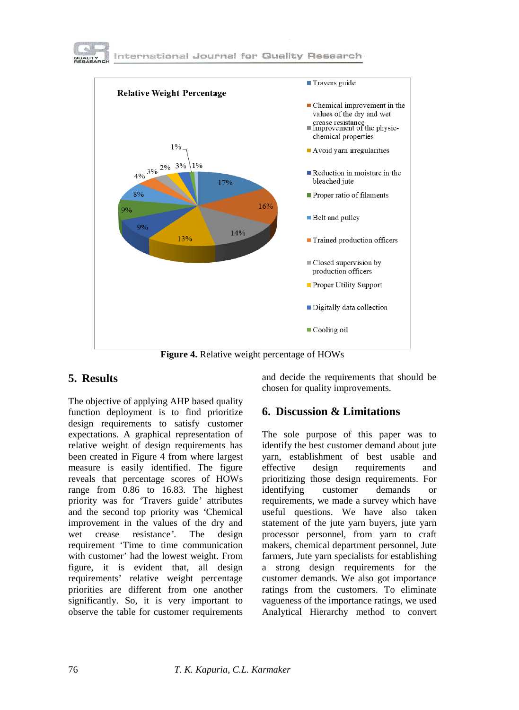



**Figure 4.** Relative weight percentage of HOWs

# **5. Results**

The objective of applying AHP based quality function deployment is to find prioritize design requirements to satisfy customer expectations. A graphical representation of relative weight of design requirements has been created in Figure 4 from where largest measure is easily identified. The figure reveals that percentage scores of HOWs range from 0.86 to 16.83. The highest priority was for *'*Travers guide*'* attributes and the second top priority was *'*Chemical improvement in the values of the dry and wet crease resistance*'*. The design requirement 'Time to time communication with customer' had the lowest weight. From figure, it is evident that, all design requirements' relative weight percentage priorities are different from one another significantly. So, it is very important to observe the table for customer requirements and decide the requirements that should be chosen for quality improvements.

## **6. Discussion & Limitations**

The sole purpose of this paper was to identify the best customer demand about jute yarn, establishment of best usable and effective design requirements and prioritizing those design requirements. For identifying customer demands or requirements, we made a survey which have useful questions. We have also taken statement of the jute yarn buyers, jute yarn processor personnel, from yarn to craft makers, chemical department personnel, Jute farmers, Jute yarn specialists for establishing a strong design requirements for the customer demands. We also got importance ratings from the customers. To eliminate vagueness of the importance ratings, we used Analytical Hierarchy method to convert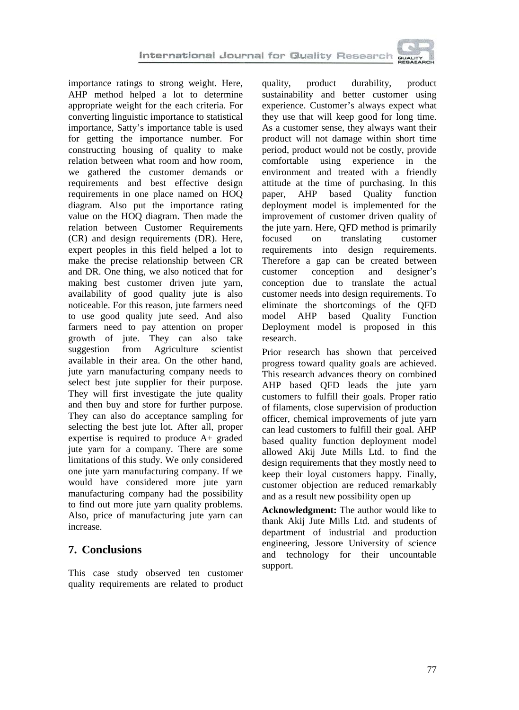importance ratings to strong weight. Here, AHP method helped a lot to determine appropriate weight for the each criteria. For converting linguistic importance to statistical importance, Satty's importance table is used for getting the importance number. For constructing housing of quality to make relation between what room and how room, we gathered the customer demands or requirements and best effective design requirements in one place named on HOQ diagram. Also put the importance rating value on the HOQ diagram. Then made the relation between Customer Requirements (CR) and design requirements (DR). Here, expert peoples in this field helped a lot to make the precise relationship between CR and DR. One thing, we also noticed that for making best customer driven jute yarn, availability of good quality jute is also noticeable. For this reason, jute farmers need to use good quality jute seed. And also farmers need to pay attention on proper growth of jute. They can also take suggestion from Agriculture scientist available in their area. On the other hand, jute yarn manufacturing company needs to select best jute supplier for their purpose. They will first investigate the jute quality and then buy and store for further purpose. They can also do acceptance sampling for selecting the best jute lot. After all, proper expertise is required to produce A+ graded jute yarn for a company. There are some limitations of this study. We only considered one jute yarn manufacturing company. If we would have considered more jute yarn manufacturing company had the possibility to find out more jute yarn quality problems. Also, price of manufacturing jute yarn can increase.

# **7. Conclusions**

This case study observed ten customer quality requirements are related to product quality, product durability, product sustainability and better customer using experience. Customer's always expect what they use that will keep good for long time. As a customer sense, they always want their product will not damage within short time period, product would not be costly, provide comfortable using experience in the environment and treated with a friendly attitude at the time of purchasing. In this paper, AHP based Quality function deployment model is implemented for the improvement of customer driven quality of the jute yarn. Here, QFD method is primarily focused on translating customer requirements into design requirements. Therefore a gap can be created between customer conception and designer's conception due to translate the actual customer needs into design requirements. To eliminate the shortcomings of the QFD model AHP based Quality Function Deployment model is proposed in this research.

Prior research has shown that perceived progress toward quality goals are achieved. This research advances theory on combined AHP based QFD leads the jute yarn customers to fulfill their goals. Proper ratio of filaments, close supervision of production officer, chemical improvements of jute yarn can lead customers to fulfill their goal. AHP based quality function deployment model allowed Akij Jute Mills Ltd. to find the design requirements that they mostly need to keep their loyal customers happy. Finally, customer objection are reduced remarkably and as a result new possibility open up

**Acknowledgment:** The author would like to thank Akij Jute Mills Ltd. and students of department of industrial and production engineering, Jessore University of science and technology for their uncountable support.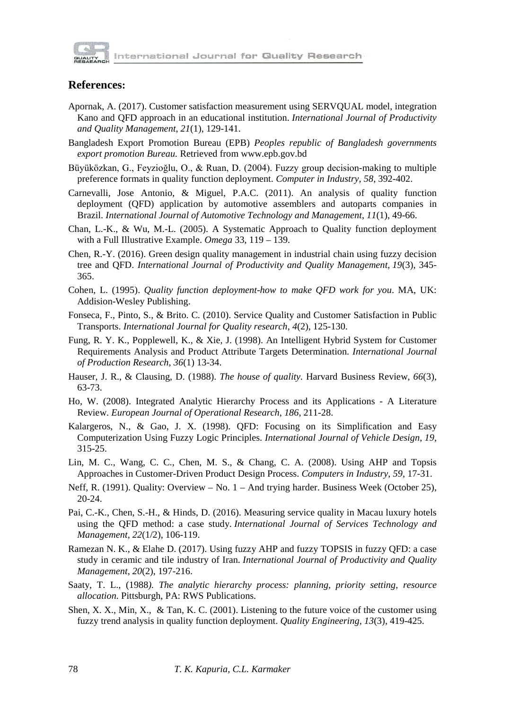

#### **References:**

- Apornak, A. (2017). Customer satisfaction measurement using SERVQUAL model, integration Kano and QFD approach in an educational institution. *International Journal of Productivity and Quality Management*, *21*(1), 129-141.
- Bangladesh Export Promotion Bureau (EPB) *Peoples republic of Bangladesh governments export promotion Bureau.* Retrieved from www.epb.gov.bd
- Büyüközkan, G., Feyzioğlu, O., & Ruan, D. (2004). Fuzzy group decision-making to multiple preference formats in quality function deployment. *Computer in Industry*, *58*, 392-402.
- Carnevalli, Jose Antonio, & Miguel, P.A.C. (2011). An analysis of quality function deployment (QFD) application by automotive assemblers and autoparts companies in Brazil. *International Journal of Automotive Technology and Management*, *11*(1), 49-66.
- Chan, L.-K., & Wu, M.-L. (2005). A Systematic Approach to Quality function deployment with a Full Illustrative Example. *Omega* 33, 119 – 139.
- Chen, R.-Y. (2016). Green design quality management in industrial chain using fuzzy decision tree and QFD. *International Journal of Productivity and Quality Management*, *19*(3), 345- 365.
- Cohen, L. (1995). *Quality function deployment-how to make QFD work for you*. MA, UK: Addision-Wesley Publishing.
- Fonseca, F., Pinto, S., & Brito. C. (2010). Service Quality and Customer Satisfaction in Public Transports. *International Journal for Quality research*, *4*(2), 125-130.
- Fung, R. Y. K., Popplewell, K., & Xie, J. (1998). An Intelligent Hybrid System for Customer Requirements Analysis and Product Attribute Targets Determination. *International Journal of Production Research*, *36*(1) 13-34.
- Hauser, J. R., & Clausing, D. (1988). *The house of quality.* Harvard Business Review, *66*(3), 63-73.
- Ho, W. (2008). Integrated Analytic Hierarchy Process and its Applications A Literature Review. *European Journal of Operational Research*, *186*, 211-28.
- Kalargeros, N., & Gao, J. X. (1998). QFD: Focusing on its Simplification and Easy Computerization Using Fuzzy Logic Principles. *International Journal of Vehicle Design*, *19*, 315-25.
- Lin, M. C., Wang, C. C., Chen, M. S., & Chang, C. A. (2008). Using AHP and Topsis Approaches in Customer-Driven Product Design Process. *Computers in Industry*, *59*, 17-31.
- Neff, R. (1991). Quality: Overview No. 1 And trying harder. Business Week (October 25), 20-24.
- Pai, C.-K., Chen, S.-H., & Hinds, D. (2016). Measuring service quality in Macau luxury hotels using the QFD method: a case study. *International Journal of Services Technology and Management*, *22*(1/2), 106-119.
- Ramezan N. K., & Elahe D. (2017). Using fuzzy AHP and fuzzy TOPSIS in fuzzy QFD: a case study in ceramic and tile industry of Iran. *International Journal of Productivity and Quality Management*, *20*(2), 197-216.
- Saaty, T. L., (1988*). The analytic hierarchy process: planning, priority setting, resource allocation.* Pittsburgh, PA: RWS Publications.
- Shen, X. X., Min, X., & Tan, K. C. (2001). Listening to the future voice of the customer using fuzzy trend analysis in quality function deployment. *Quality Engineering*, *13*(3), 419-425.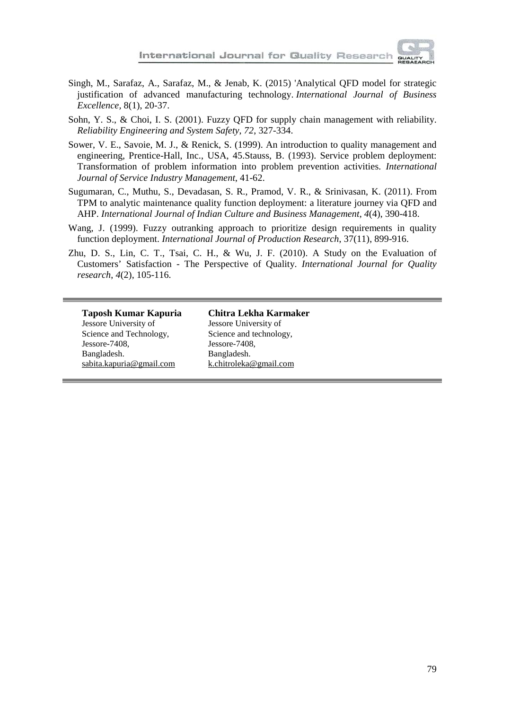

- Singh, M., Sarafaz, A., Sarafaz, M., & Jenab, K. (2015) 'Analytical QFD model for strategic justification of advanced manufacturing technology. *International Journal of Business Excellence,* 8(1), 20-37.
- Sohn, Y. S., & Choi, I. S. (2001). Fuzzy QFD for supply chain management with reliability. *Reliability Engineering and System Safety*, *72*, 327-334.
- Sower, V. E., Savoie, M. J., & Renick, S. (1999). An introduction to quality management and engineering, Prentice-Hall, Inc., USA, 45.Stauss, B. (1993). Service problem deployment: Transformation of problem information into problem prevention activities. *International Journal of Service Industry Management*, 41-62.
- Sugumaran, C., Muthu, S., Devadasan, S. R., Pramod, V. R., & Srinivasan, K. (2011). From TPM to analytic maintenance quality function deployment: a literature journey via QFD and AHP. *International Journal of Indian Culture and Business Management*, *4*(4), 390-418.
- Wang, J. (1999). Fuzzy outranking approach to prioritize design requirements in quality function deployment. *International Journal of Production Research*, 37(11), 899-916.
- Zhu, D. S., Lin, C. T., Tsai, C. H., & Wu, J. F. (2010). A Study on the Evaluation of Customers' Satisfaction - The Perspective of Quality. *International Journal for Quality research*, *4*(2), 105-116.

**Taposh Kumar Kapuria** Jessore University of Science and Technology, Jessore-7408, Bangladesh. [sabita.kapuria@gmail.com](mailto:sabita.kapuria@gmail.com)

**Chitra Lekha Karmaker** Jessore University of Science and technology, Jessore-7408, Bangladesh. [k.chitroleka@gmail.com](mailto:k.chitroleka@gmail.com)